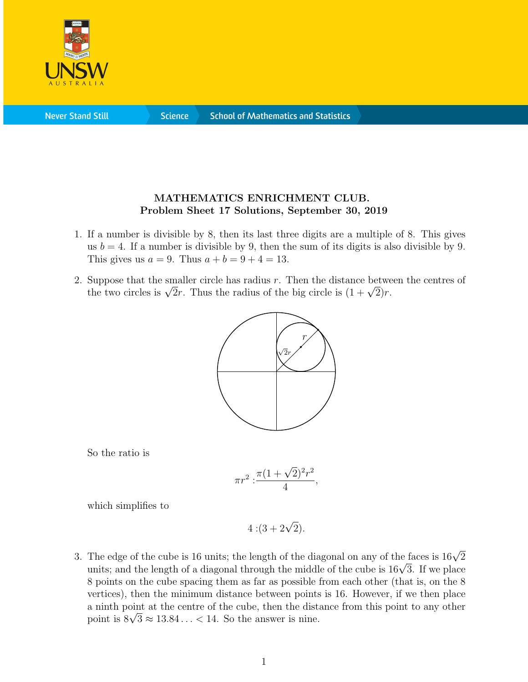

**Never Stand Still** 

**Science** 

## MATHEMATICS ENRICHMENT CLUB. Problem Sheet 17 Solutions, September 30, 2019

- 1. If a number is divisible by 8, then its last three digits are a multiple of 8. This gives us  $b = 4$ . If a number is divisible by 9, then the sum of its digits is also divisible by 9. This gives us  $a = 9$ . Thus  $a + b = 9 + 4 = 13$ .
- 2. Suppose that the smaller circle has radius  $r$ . Then the distance between the centres of Suppose that the smaller circle has radius r. Then the distance betwe<br>the two circles is  $\sqrt{2}r$ . Thus the radius of the big circle is  $(1 + \sqrt{2})r$ .



So the ratio is

$$
\pi r^2 : \frac{\pi (1 + \sqrt{2})^2 r^2}{4},
$$

which simplifies to

 $4:(3+2\sqrt{2}).$ 

3. The edge of the cube is 16 units; the length of the diagonal on any of the faces is  $16\sqrt{2}$ The eage of the cube is 16 units; the length of the diagonal on any of the faces is 16√2 units; and the length of a diagonal through the middle of the cube is  $16\sqrt{3}$ . If we place 8 points on the cube spacing them as far as possible from each other (that is, on the 8 vertices), then the minimum distance between points is 16. However, if we then place a ninth point at the centre of the cube, then the distance from this point to any other a ninth point at the centre of the cube, then the distribution is  $8\sqrt{3} \approx 13.84... < 14$ . So the answer is nine.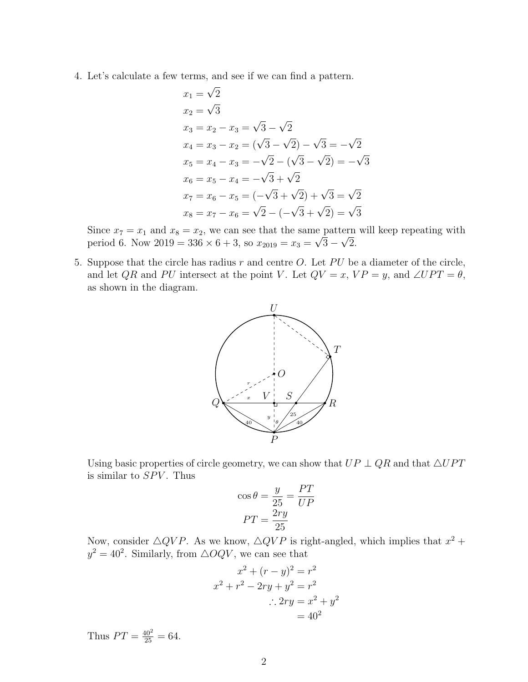4. Let's calculate a few terms, and see if we can find a pattern.

$$
x_1 = \sqrt{2}
$$
  
\n
$$
x_2 = \sqrt{3}
$$
  
\n
$$
x_3 = x_2 - x_3 = \sqrt{3} - \sqrt{2}
$$
  
\n
$$
x_4 = x_3 - x_2 = (\sqrt{3} - \sqrt{2}) - \sqrt{3} = -\sqrt{2}
$$
  
\n
$$
x_5 = x_4 - x_3 = -\sqrt{2} - (\sqrt{3} - \sqrt{2}) = -\sqrt{3}
$$
  
\n
$$
x_6 = x_5 - x_4 = -\sqrt{3} + \sqrt{2}
$$
  
\n
$$
x_7 = x_6 - x_5 = (-\sqrt{3} + \sqrt{2}) + \sqrt{3} = \sqrt{2}
$$
  
\n
$$
x_8 = x_7 - x_6 = \sqrt{2} - (-\sqrt{3} + \sqrt{2}) = \sqrt{3}
$$

Since  $x_7 = x_1$  and  $x_8 = x_2$ , we can see that the same pattern will keep repeating with period 6. Now  $2019 = 336 \times 6 + 3$ , so  $x_{2019} = x_3 =$ √  $3 -$ √ 2.

5. Suppose that the circle has radius  $r$  and centre  $O$ . Let  $PU$  be a diameter of the circle, and let QR and PU intersect at the point V. Let  $QV = x$ ,  $VP = y$ , and  $\angle UPT = \theta$ , as shown in the diagram.



Using basic properties of circle geometry, we can show that  $UP \perp QR$  and that  $\triangle UPT$ is similar to  $SPV$ . Thus

$$
\cos \theta = \frac{y}{25} = \frac{PT}{UP}
$$

$$
PT = \frac{2ry}{25}
$$

Now, consider  $\triangle QVP$ . As we know,  $\triangle QVP$  is right-angled, which implies that  $x^2 +$  $y^2 = 40^2$ . Similarly, from  $\triangle OQV$ , we can see that

$$
x2 + (r - y)2 = r2
$$
  

$$
x2 + r2 - 2ry + y2 = r2
$$
  

$$
\therefore 2ry = x2 + y2
$$
  

$$
= 402
$$

Thus  $PT = \frac{40^2}{25} = 64$ .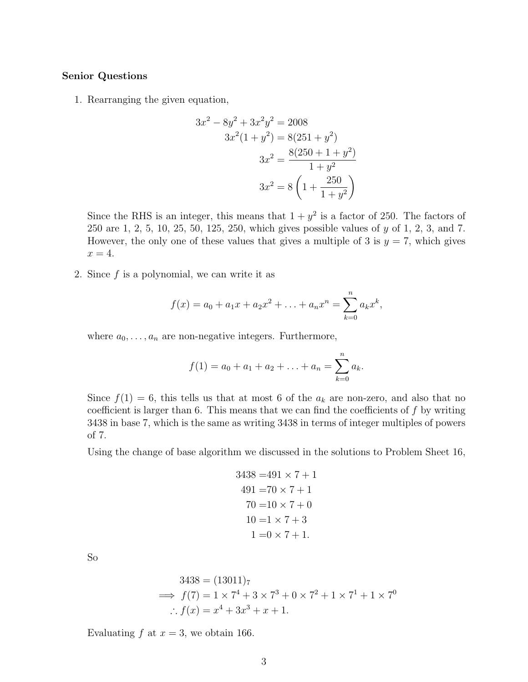## Senior Questions

1. Rearranging the given equation,

$$
3x2 - 8y2 + 3x2y2 = 2008
$$
  
\n
$$
3x2(1 + y2) = 8(251 + y2)
$$
  
\n
$$
3x2 = \frac{8(250 + 1 + y2)}{1 + y2}
$$
  
\n
$$
3x2 = 8\left(1 + \frac{250}{1 + y2}\right)
$$

Since the RHS is an integer, this means that  $1 + y^2$  is a factor of 250. The factors of 250 are 1, 2, 5, 10, 25, 50, 125, 250, which gives possible values of y of 1, 2, 3, and 7. However, the only one of these values that gives a multiple of 3 is  $y = 7$ , which gives  $x=4.$ 

2. Since  $f$  is a polynomial, we can write it as

$$
f(x) = a_0 + a_1 x + a_2 x^2 + \ldots + a_n x^n = \sum_{k=0}^n a_k x^k,
$$

where  $a_0, \ldots, a_n$  are non-negative integers. Furthermore,

$$
f(1) = a_0 + a_1 + a_2 + \ldots + a_n = \sum_{k=0}^n a_k.
$$

Since  $f(1) = 6$ , this tells us that at most 6 of the  $a_k$  are non-zero, and also that no coefficient is larger than 6. This means that we can find the coefficients of  $f$  by writing 3438 in base 7, which is the same as writing 3438 in terms of integer multiples of powers of 7.

Using the change of base algorithm we discussed in the solutions to Problem Sheet 16,

$$
3438 = 491 \times 7 + 1
$$
  
\n
$$
491 = 70 \times 7 + 1
$$
  
\n
$$
70 = 10 \times 7 + 0
$$
  
\n
$$
10 = 1 \times 7 + 3
$$
  
\n
$$
1 = 0 \times 7 + 1
$$

So

$$
3438 = (13011)7
$$
  
\n⇒  $f(7) = 1 \times 7^4 + 3 \times 7^3 + 0 \times 7^2 + 1 \times 7^1 + 1 \times 7^0$   
\n∴  $f(x) = x^4 + 3x^3 + x + 1$ .

Evaluating  $f$  at  $x = 3$ , we obtain 166.